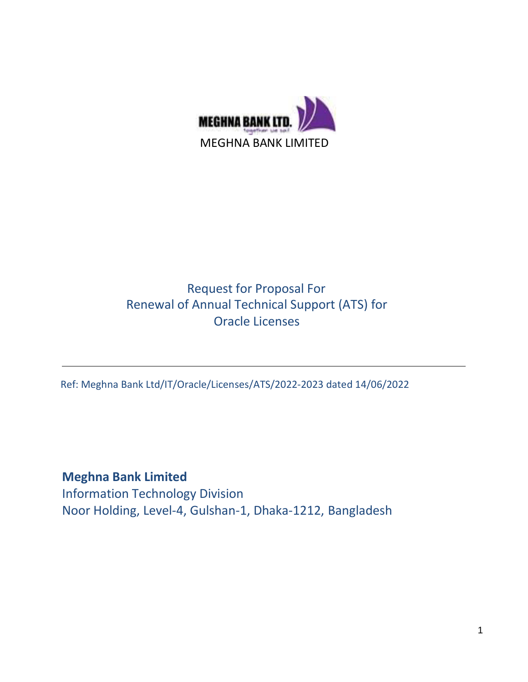

# Request for Proposal For Renewal of Annual Technical Support (ATS) for Oracle Licenses

Ref: Meghna Bank Ltd/IT/Oracle/Licenses/ATS/2022-2023 dated 14/06/2022

**Meghna Bank Limited** Information Technology Division Noor Holding, Level-4, Gulshan-1, Dhaka-1212, Bangladesh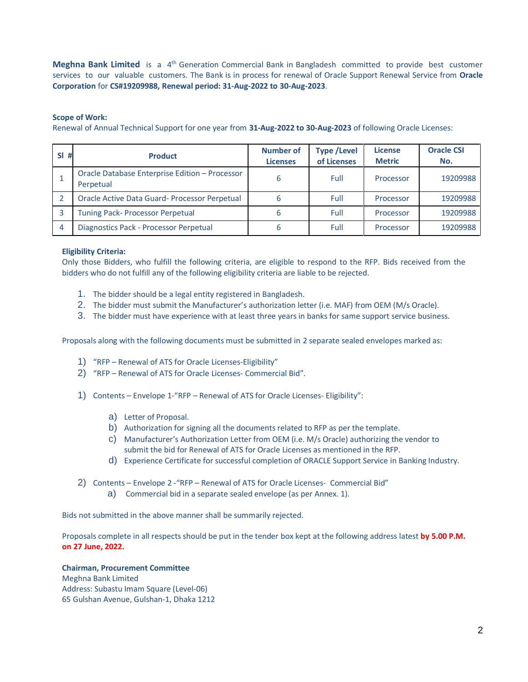**Meghna Bank Limited** is a 4<sup>th</sup> Generation Commercial Bank in Bangladesh committed to provide best customer services to our valuable customers. The Bank is in process for renewal of Oracle Support Renewal Service from **Oracle Corporation** for **CS#19209988, Renewal period: 31-Aug-2022 to 30-Aug-2023**.

### **Scope of Work:**

Renewal of Annual Technical Support for one year from **31-Aug-2022 to 30-Aug-2023** of following Oracle Licenses:

| <b>SI</b><br># | <b>Product</b>                                              | <b>Number of</b><br><b>Licenses</b> | <b>Type /Level</b><br>of Licenses | <b>License</b><br><b>Metric</b> | <b>Oracle CSI</b><br>No. |
|----------------|-------------------------------------------------------------|-------------------------------------|-----------------------------------|---------------------------------|--------------------------|
|                | Oracle Database Enterprise Edition - Processor<br>Perpetual | 6                                   | Full                              | Processor                       | 19209988                 |
|                | <b>Oracle Active Data Guard-Processor Perpetual</b>         |                                     | Full                              | Processor                       | 19209988                 |
|                | <b>Tuning Pack- Processor Perpetual</b>                     | 6                                   | Full                              | Processor                       | 19209988                 |
| 4              | Diagnostics Pack - Processor Perpetual                      | b                                   | Full                              | Processor                       | 19209988                 |

### **Eligibility Criteria:**

Only those Bidders, who fulfill the following criteria, are eligible to respond to the RFP. Bids received from the bidders who do not fulfill any of the following eligibility criteria are liable to be rejected.

- 1. The bidder should be a legal entity registered in Bangladesh.
- 2. The bidder must submit the Manufacturer's authorization letter (i.e. MAF) from OEM (M/s Oracle).
- 3. The bidder must have experience with at least three years in banks for same support service business.

Proposals along with the following documents must be submitted in 2 separate sealed envelopes marked as:

- 1) "RFP Renewal of ATS for Oracle Licenses-Eligibility"
- 2) "RFP Renewal of ATS for Oracle Licenses- Commercial Bid".
- 1) Contents Envelope 1-"RFP Renewal of ATS for Oracle Licenses- Eligibility":
	- a) Letter of Proposal.
	- b) Authorization for signing all the documents related to RFP as per the template.
	- c) Manufacturer's Authorization Letter from OEM (i.e. M/s Oracle) authorizing the vendor to submit the bid for Renewal of ATS for Oracle Licenses as mentioned in the RFP.
	- d) Experience Certificate for successful completion of ORACLE Support Service in Banking Industry.
- 2) Contents Envelope 2 -"RFP Renewal of ATS for Oracle Licenses- Commercial Bid" a) Commercial bid in a separate sealed envelope (as per Annex. 1).

Bids not submitted in the above manner shall be summarily rejected.

Proposals complete in all respects should be put in the tender box kept at the following address latest **by 5.00 P.M. on 27 June, 2022.**

### **Chairman, Procurement Committee**

Meghna Bank Limited Address: Subastu Imam Square (Level-06) 65 Gulshan Avenue, Gulshan-1, Dhaka 1212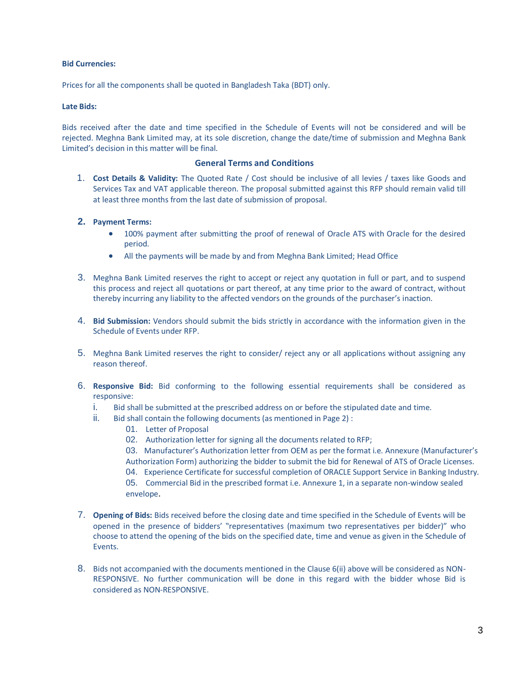### **Bid Currencies:**

Prices for all the components shall be quoted in Bangladesh Taka (BDT) only.

### **Late Bids:**

Bids received after the date and time specified in the Schedule of Events will not be considered and will be rejected. Meghna Bank Limited may, at its sole discretion, change the date/time of submission and Meghna Bank Limited's decision in this matter will be final.

### **General Terms and Conditions**

1. **Cost Details & Validity:** The Quoted Rate / Cost should be inclusive of all levies / taxes like Goods and Services Tax and VAT applicable thereon. The proposal submitted against this RFP should remain valid till at least three months from the last date of submission of proposal.

## **2. Payment Terms:**

- 100% payment after submitting the proof of renewal of Oracle ATS with Oracle for the desired period.
- All the payments will be made by and from Meghna Bank Limited; Head Office
- 3. Meghna Bank Limited reserves the right to accept or reject any quotation in full or part, and to suspend this process and reject all quotations or part thereof, at any time prior to the award of contract, without thereby incurring any liability to the affected vendors on the grounds of the purchaser's inaction.
- 4. **Bid Submission:** Vendors should submit the bids strictly in accordance with the information given in the Schedule of Events under RFP.
- 5. Meghna Bank Limited reserves the right to consider/ reject any or all applications without assigning any reason thereof.
- 6. **Responsive Bid:** Bid conforming to the following essential requirements shall be considered as responsive:
	- i. Bid shall be submitted at the prescribed address on or before the stipulated date and time.
	- ii. Bid shall contain the following documents (as mentioned in Page 2) :
		- 01. Letter of Proposal
		- 02. Authorization letter for signing all the documents related to RFP;
		- 03. Manufacturer's Authorization letter from OEM as per the format i.e. Annexure (Manufacturer's Authorization Form) authorizing the bidder to submit the bid for Renewal of ATS of Oracle Licenses.
		- 04. Experience Certificate for successful completion of ORACLE Support Service in Banking Industry.
		- 05. Commercial Bid in the prescribed format i.e. Annexure 1, in a separate non-window sealed envelope.
- 7. **Opening of Bids:** Bids received before the closing date and time specified in the Schedule of Events will be opened in the presence of bidders' "representatives (maximum two representatives per bidder)" who choose to attend the opening of the bids on the specified date, time and venue as given in the Schedule of Events.
- 8. Bids not accompanied with the documents mentioned in the Clause 6(ii) above will be considered as NON-RESPONSIVE. No further communication will be done in this regard with the bidder whose Bid is considered as NON-RESPONSIVE.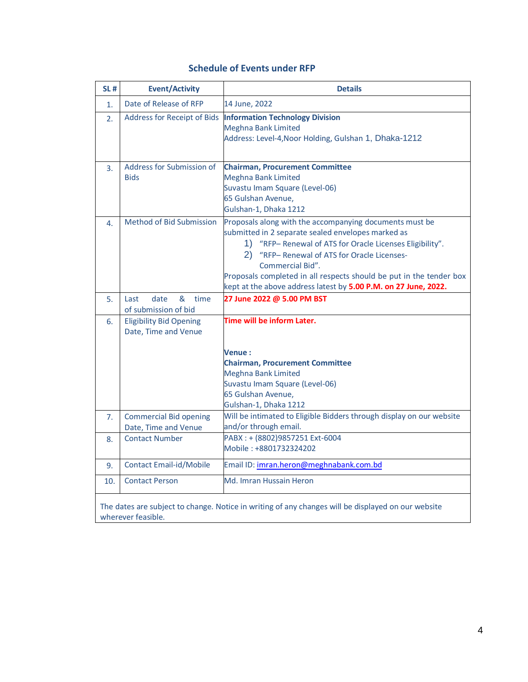| <b>SL#</b> | <b>Event/Activity</b>                                  | <b>Details</b>                                                                                                                                                                                                                                                                                                                                                                              |
|------------|--------------------------------------------------------|---------------------------------------------------------------------------------------------------------------------------------------------------------------------------------------------------------------------------------------------------------------------------------------------------------------------------------------------------------------------------------------------|
| 1.         | Date of Release of RFP                                 | 14 June, 2022                                                                                                                                                                                                                                                                                                                                                                               |
| 2.         | Address for Receipt of Bids                            | <b>Information Technology Division</b><br><b>Meghna Bank Limited</b><br>Address: Level-4, Noor Holding, Gulshan 1, Dhaka-1212                                                                                                                                                                                                                                                               |
| 3.         | Address for Submission of<br><b>Bids</b>               | <b>Chairman, Procurement Committee</b><br><b>Meghna Bank Limited</b><br>Suvastu Imam Square (Level-06)<br>65 Gulshan Avenue,<br>Gulshan-1, Dhaka 1212                                                                                                                                                                                                                                       |
| 4.         | Method of Bid Submission                               | Proposals along with the accompanying documents must be<br>submitted in 2 separate sealed envelopes marked as<br>1) "RFP- Renewal of ATS for Oracle Licenses Eligibility".<br>"RFP- Renewal of ATS for Oracle Licenses-<br>2)<br>Commercial Bid".<br>Proposals completed in all respects should be put in the tender box<br>kept at the above address latest by 5.00 P.M. on 27 June, 2022. |
| 5.         | date<br>&<br>time<br>Last<br>of submission of bid      | 27 June 2022 @ 5.00 PM BST                                                                                                                                                                                                                                                                                                                                                                  |
| 6.         | <b>Eligibility Bid Opening</b><br>Date, Time and Venue | Time will be inform Later.                                                                                                                                                                                                                                                                                                                                                                  |
|            |                                                        | <b>Venue :</b><br><b>Chairman, Procurement Committee</b><br><b>Meghna Bank Limited</b><br>Suvastu Imam Square (Level-06)<br>65 Gulshan Avenue,<br>Gulshan-1, Dhaka 1212                                                                                                                                                                                                                     |
| 7.         | <b>Commercial Bid opening</b><br>Date, Time and Venue  | Will be intimated to Eligible Bidders through display on our website<br>and/or through email.                                                                                                                                                                                                                                                                                               |
| 8.         | <b>Contact Number</b>                                  | PABX: + (8802)9857251 Ext-6004<br>Mobile: +8801732324202                                                                                                                                                                                                                                                                                                                                    |
| 9.         | <b>Contact Email-id/Mobile</b>                         | Email ID: imran.heron@meghnabank.com.bd                                                                                                                                                                                                                                                                                                                                                     |
| 10.        | <b>Contact Person</b>                                  | Md. Imran Hussain Heron                                                                                                                                                                                                                                                                                                                                                                     |
|            | wherever feasible.                                     | The dates are subject to change. Notice in writing of any changes will be displayed on our website                                                                                                                                                                                                                                                                                          |

# **Schedule of Events under RFP**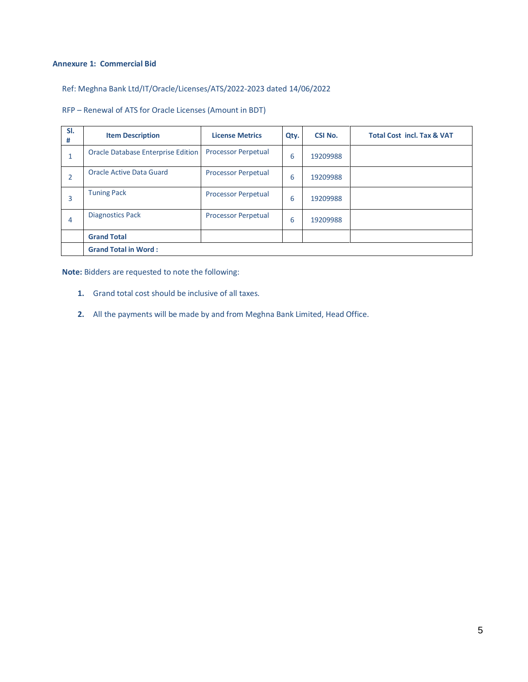### **Annexure 1: Commercial Bid**

# Ref: Meghna Bank Ltd/IT/Oracle/Licenses/ATS/2022-2023 dated 14/06/2022

# RFP – Renewal of ATS for Oracle Licenses (Amount in BDT)

| SI.<br>#       | <b>Item Description</b>            | <b>License Metrics</b>     | Qty. | <b>CSI No.</b> | <b>Total Cost incl. Tax &amp; VAT</b> |
|----------------|------------------------------------|----------------------------|------|----------------|---------------------------------------|
| 1              | Oracle Database Enterprise Edition | <b>Processor Perpetual</b> | 6    | 19209988       |                                       |
| $\overline{2}$ | Oracle Active Data Guard           | <b>Processor Perpetual</b> | 6    | 19209988       |                                       |
| 3              | <b>Tuning Pack</b>                 | <b>Processor Perpetual</b> | 6    | 19209988       |                                       |
| 4              | <b>Diagnostics Pack</b>            | <b>Processor Perpetual</b> | 6    | 19209988       |                                       |
|                | <b>Grand Total</b>                 |                            |      |                |                                       |
|                | <b>Grand Total in Word:</b>        |                            |      |                |                                       |

**Note:** Bidders are requested to note the following:

- **1.** Grand total cost should be inclusive of all taxes.
- **2.** All the payments will be made by and from Meghna Bank Limited, Head Office.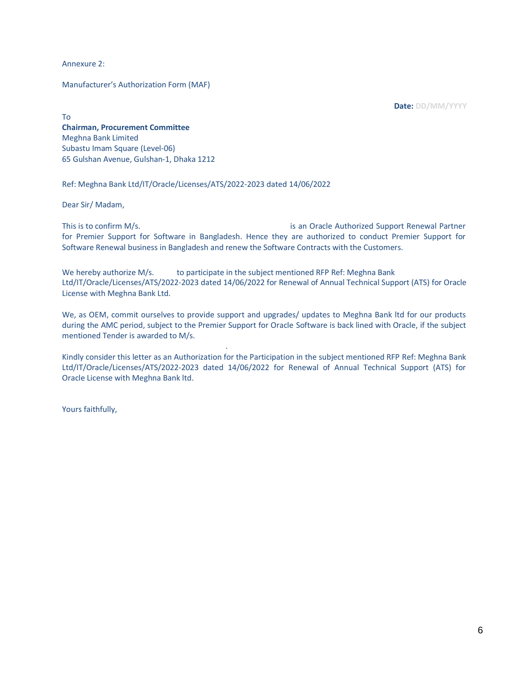Annexure 2:

Manufacturer's Authorization Form (MAF)

**Date: DD/MM/YYYY**

To **Chairman, Procurement Committee** Meghna Bank Limited Subastu Imam Square (Level-06) 65 Gulshan Avenue, Gulshan-1, Dhaka 1212

Ref: Meghna Bank Ltd/IT/Oracle/Licenses/ATS/2022-2023 dated 14/06/2022

Dear Sir/ Madam,

This is to confirm M/s. This is an Oracle Authorized Support Renewal Partner for Premier Support for Software in Bangladesh. Hence they are authorized to conduct Premier Support for Software Renewal business in Bangladesh and renew the Software Contracts with the Customers.

We hereby authorize M/s. to participate in the subject mentioned RFP Ref: Meghna Bank Ltd/IT/Oracle/Licenses/ATS/2022-2023 dated 14/06/2022 for Renewal of Annual Technical Support (ATS) for Oracle License with Meghna Bank Ltd.

We, as OEM, commit ourselves to provide support and upgrades/ updates to Meghna Bank ltd for our products during the AMC period, subject to the Premier Support for Oracle Software is back lined with Oracle, if the subject mentioned Tender is awarded to M/s.

Kindly consider this letter as an Authorization for the Participation in the subject mentioned RFP Ref: Meghna Bank Ltd/IT/Oracle/Licenses/ATS/2022-2023 dated 14/06/2022 for Renewal of Annual Technical Support (ATS) for Oracle License with Meghna Bank ltd.

.

Yours faithfully,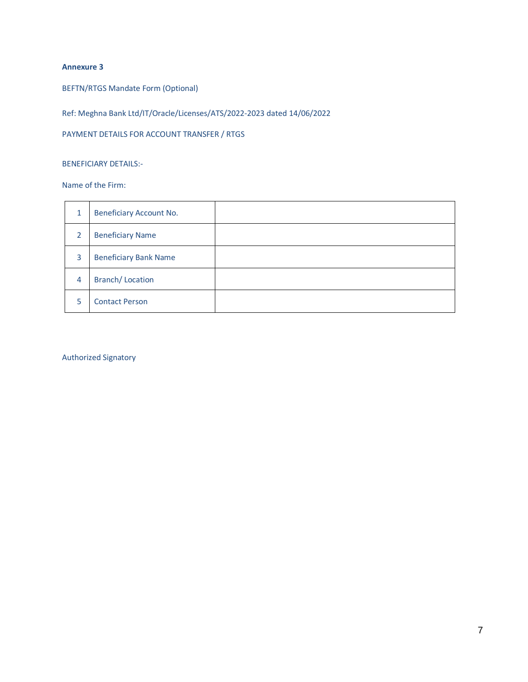# **Annexure 3**

BEFTN/RTGS Mandate Form (Optional)

Ref: Meghna Bank Ltd/IT/Oracle/Licenses/ATS/2022-2023 dated 14/06/2022

PAYMENT DETAILS FOR ACCOUNT TRANSFER / RTGS

## BENEFICIARY DETAILS:-

Name of the Firm:

| 1              | <b>Beneficiary Account No.</b> |  |
|----------------|--------------------------------|--|
| 2              | <b>Beneficiary Name</b>        |  |
| 3              | <b>Beneficiary Bank Name</b>   |  |
| $\overline{4}$ | <b>Branch/Location</b>         |  |
| 5              | <b>Contact Person</b>          |  |

Authorized Signatory